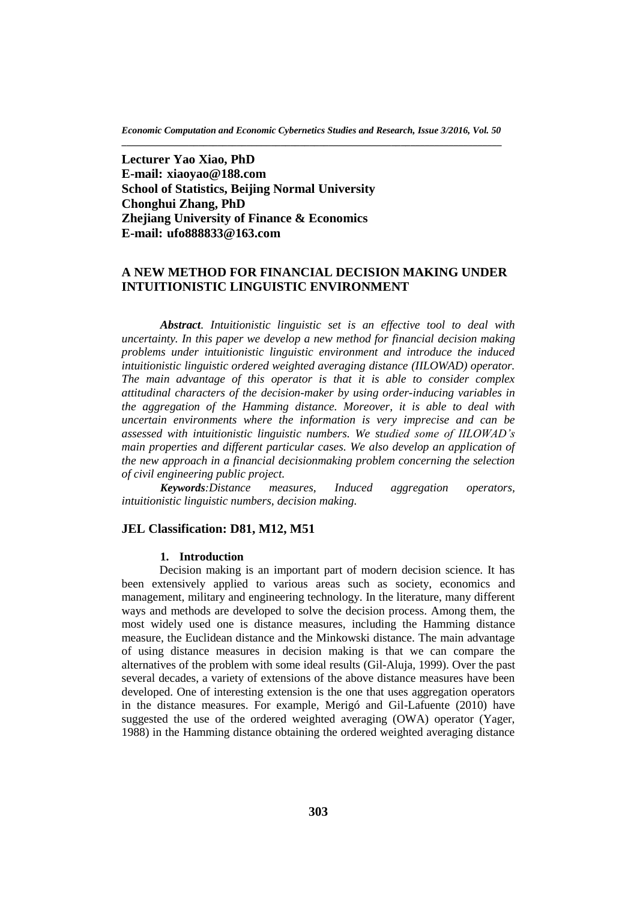*Economic Computation and Economic Cybernetics Studies and Research, Issue 3/2016, Vol. 50* **\_\_\_\_\_\_\_\_\_\_\_\_\_\_\_\_\_\_\_\_\_\_\_\_\_\_\_\_\_\_\_\_\_\_\_\_\_\_\_\_\_\_\_\_\_\_\_\_\_\_\_\_\_\_\_\_\_\_\_\_\_\_\_\_\_\_\_\_\_\_\_\_\_\_\_\_\_\_\_**

**Lecturer Yao Xiao, PhD E-mail: xiaoyao@188.com School of Statistics, Beijing Normal University Chonghui Zhang, PhD Zhejiang University of Finance & Economics E-mail: ufo888833@163.com**

## **A NEW METHOD FOR FINANCIAL DECISION MAKING UNDER INTUITIONISTIC LINGUISTIC ENVIRONMENT**

*Abstract. Intuitionistic linguistic set is an effective tool to deal with uncertainty. In this paper we develop a new method for financial decision making problems under intuitionistic linguistic environment and introduce the induced intuitionistic linguistic ordered weighted averaging distance (IILOWAD) operator. The main advantage of this operator is that it is able to consider complex attitudinal characters of the decision-maker by using order-inducing variables in the aggregation of the Hamming distance. Moreover, it is able to deal with uncertain environments where the information is very imprecise and can be assessed with intuitionistic linguistic numbers. We studied some of IILOWAD's main properties and different particular cases. We also develop an application of the new approach in a financial decisionmaking problem concerning the selection of civil engineering public project.* 

*Keywords:Distance measures, Induced aggregation operators, intuitionistic linguistic numbers, decision making.*

## **JEL Classification: D81, M12, M51**

## **1. Introduction**

Decision making is an important part of modern decision science. It has been extensively applied to various areas such as society, economics and management, military and engineering technology. In the literature, many different ways and methods are developed to solve the decision process. Among them, the most widely used one is distance measures, including the Hamming distance measure, the Euclidean distance and the Minkowski distance. The main advantage of using distance measures in decision making is that we can compare the alternatives of the problem with some ideal results (Gil-Aluja, 1999). Over the past several decades, a variety of extensions of the above distance measures have been developed. One of interesting extension is the one that uses aggregation operators in the distance measures. For example, Merigó and Gil-Lafuente (2010) have suggested the use of the ordered weighted averaging (OWA) operator (Yager, 1988) in the Hamming distance obtaining the ordered weighted averaging distance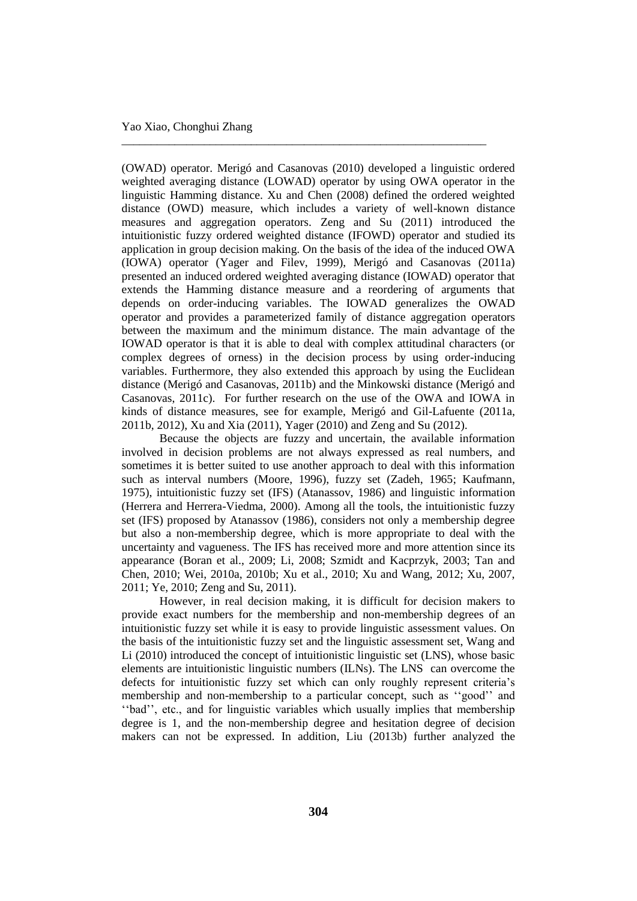(OWAD) operator. Merigó and Casanovas (2010) developed a linguistic ordered weighted averaging distance (LOWAD) operator by using OWA operator in the linguistic Hamming distance. Xu and Chen (2008) defined the ordered weighted distance (OWD) measure, which includes a variety of well-known distance measures and aggregation operators. Zeng and Su (2011) introduced the intuitionistic fuzzy ordered weighted distance (IFOWD) operator and studied its application in group decision making. On the basis of the idea of the induced OWA (IOWA) operator (Yager and Filev, 1999), Merigó and Casanovas (2011a) presented an induced ordered weighted averaging distance (IOWAD) operator that extends the Hamming distance measure and a reordering of arguments that depends on order-inducing variables. The IOWAD generalizes the OWAD operator and provides a parameterized family of distance aggregation operators between the maximum and the minimum distance. The main advantage of the IOWAD operator is that it is able to deal with complex attitudinal characters (or complex degrees of orness) in the decision process by using order-inducing variables. Furthermore, they also extended this approach by using the Euclidean distance (Merigó and Casanovas, 2011b) and the Minkowski distance (Merigó and Casanovas, 2011c). For further research on the use of the OWA and IOWA in kinds of distance measures, see for example, Merigó and Gil-Lafuente (2011a, 2011b, 2012), Xu and Xia (2011), Yager (2010) and Zeng and Su (2012).

\_\_\_\_\_\_\_\_\_\_\_\_\_\_\_\_\_\_\_\_\_\_\_\_\_\_\_\_\_\_\_\_\_\_\_\_\_\_\_\_\_\_\_\_\_\_\_\_\_\_\_\_\_\_\_\_\_\_\_\_\_\_

Because the objects are fuzzy and uncertain, the available information involved in decision problems are not always expressed as real numbers, and sometimes it is better suited to use another approach to deal with this information such as interval numbers (Moore, 1996), fuzzy set (Zadeh, 1965; Kaufmann, 1975), intuitionistic fuzzy set (IFS) (Atanassov, 1986) and linguistic information (Herrera and Herrera-Viedma, 2000). Among all the tools, the intuitionistic fuzzy set (IFS) proposed by Atanassov (1986), considers not only a membership degree but also a non-membership degree, which is more appropriate to deal with the uncertainty and vagueness. The IFS has received more and more attention since its appearance (Boran et al., 2009; Li, 2008; Szmidt and Kacprzyk, 2003; Tan and Chen, 2010; Wei, 2010a, 2010b; Xu et al., 2010; Xu and Wang, 2012; Xu, 2007, 2011; Ye, 2010; Zeng and Su, 2011).

However, in real decision making, it is difficult for decision makers to provide exact numbers for the membership and non-membership degrees of an intuitionistic fuzzy set while it is easy to provide linguistic assessment values. On the basis of the intuitionistic fuzzy set and the linguistic assessment set, Wang and Li (2010) introduced the concept of intuitionistic linguistic set (LNS), whose basic elements are intuitionistic linguistic numbers (ILNs). The LNS can overcome the defects for intuitionistic fuzzy set which can only roughly represent criteria's membership and non-membership to a particular concept, such as ''good'' and ''bad'', etc., and for linguistic variables which usually implies that membership degree is 1, and the non-membership degree and hesitation degree of decision makers can not be expressed. In addition, Liu (2013b) further analyzed the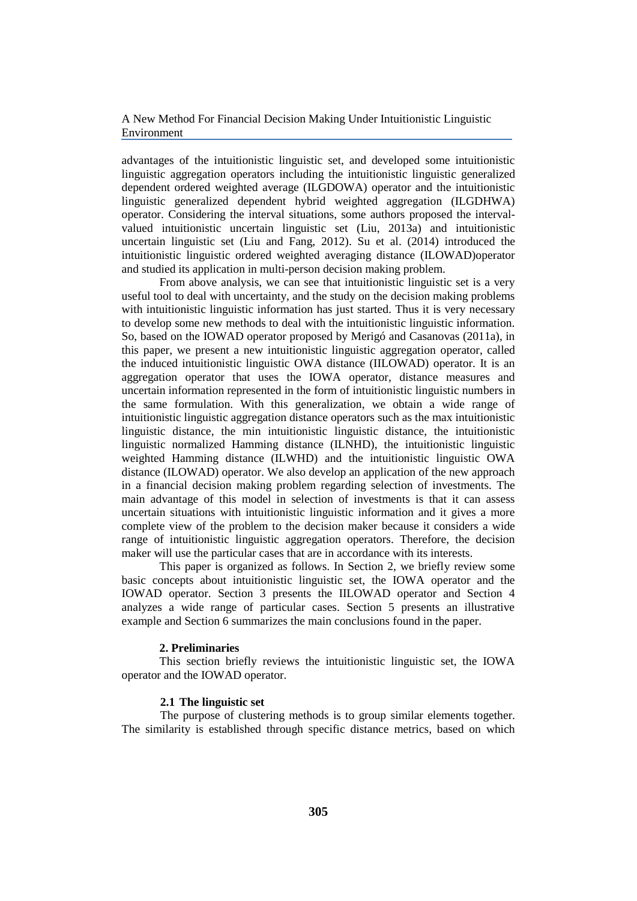advantages of the intuitionistic linguistic set, and developed some intuitionistic linguistic aggregation operators including the intuitionistic linguistic generalized dependent ordered weighted average (ILGDOWA) operator and the intuitionistic linguistic generalized dependent hybrid weighted aggregation (ILGDHWA) operator. Considering the interval situations, some authors proposed the intervalvalued intuitionistic uncertain linguistic set (Liu, 2013a) and intuitionistic uncertain linguistic set (Liu and Fang, 2012). Su et al. (2014) introduced the intuitionistic linguistic ordered weighted averaging distance (ILOWAD)operator and studied its application in multi-person decision making problem.

From above analysis, we can see that intuitionistic linguistic set is a very useful tool to deal with uncertainty, and the study on the decision making problems with intuitionistic linguistic information has just started. Thus it is very necessary to develop some new methods to deal with the intuitionistic linguistic information. So, based on the IOWAD operator proposed by Merigó and Casanovas (2011a), in this paper, we present a new intuitionistic linguistic aggregation operator, called the induced intuitionistic linguistic OWA distance (IILOWAD) operator. It is an aggregation operator that uses the IOWA operator, distance measures and uncertain information represented in the form of intuitionistic linguistic numbers in the same formulation. With this generalization, we obtain a wide range of intuitionistic linguistic aggregation distance operators such as the max intuitionistic linguistic distance, the min intuitionistic linguistic distance, the intuitionistic linguistic normalized Hamming distance (ILNHD), the intuitionistic linguistic weighted Hamming distance (ILWHD) and the intuitionistic linguistic OWA distance (ILOWAD) operator. We also develop an application of the new approach in a financial decision making problem regarding selection of investments. The main advantage of this model in selection of investments is that it can assess uncertain situations with intuitionistic linguistic information and it gives a more complete view of the problem to the decision maker because it considers a wide range of intuitionistic linguistic aggregation operators. Therefore, the decision maker will use the particular cases that are in accordance with its interests.

This paper is organized as follows. In Section 2, we briefly review some basic concepts about intuitionistic linguistic set, the IOWA operator and the IOWAD operator. Section 3 presents the IILOWAD operator and Section 4 analyzes a wide range of particular cases. Section 5 presents an illustrative example and Section 6 summarizes the main conclusions found in the paper.

## **2. Preliminaries**

This section briefly reviews the intuitionistic linguistic set, the IOWA operator and the IOWAD operator.

#### **2.1 The linguistic set**

The purpose of clustering methods is to group similar elements together. The similarity is established through specific distance metrics, based on which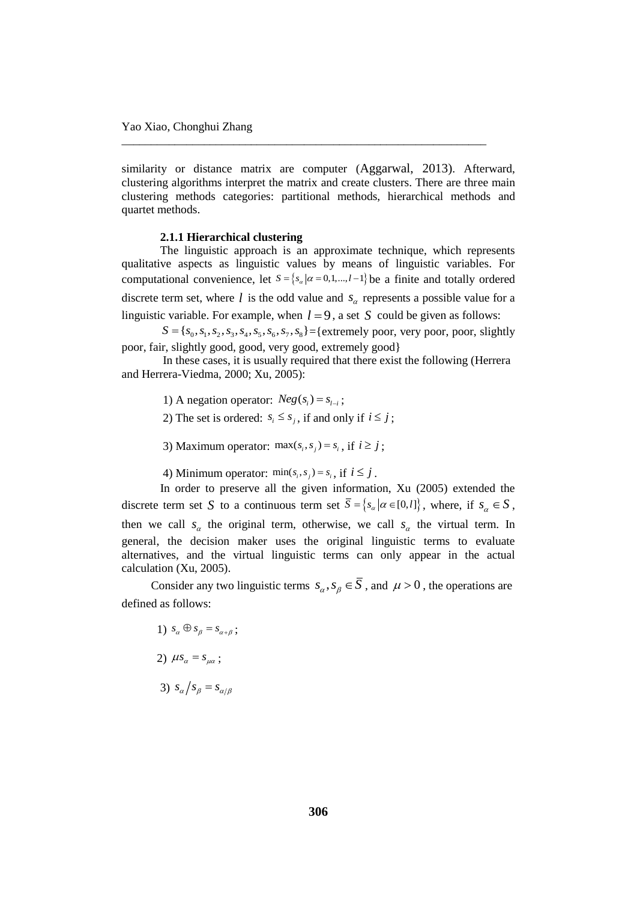similarity or distance matrix are computer (Aggarwal, 2013). Afterward, clustering algorithms interpret the matrix and create clusters. There are three main clustering methods categories: partitional methods, hierarchical methods and quartet methods.

\_\_\_\_\_\_\_\_\_\_\_\_\_\_\_\_\_\_\_\_\_\_\_\_\_\_\_\_\_\_\_\_\_\_\_\_\_\_\_\_\_\_\_\_\_\_\_\_\_\_\_\_\_\_\_\_\_\_\_\_\_\_

#### **2.1.1 Hierarchical clustering**

The linguistic approach is an approximate technique, which represents qualitative aspects as linguistic values by means of linguistic variables. For computational convenience, let  $S = \{s_\alpha | \alpha = 0,1,\dots, l-1\}$  be a finite and totally ordered discrete term set, where  $l$  is the odd value and  $s_\alpha$  represents a possible value for a linguistic variable. For example, when  $l = 9$ , a set S could be given as follows:

c variable. For example, when  $l = 9$ , a set S could be given as follows:<br> $S = \{s_0, s_1, s_2, s_3, s_4, s_5, s_6, s_7, s_8\} = \{extremely poor, very poor, poor, slightly$ poor, fair, slightly good, good, very good, extremely good}

In these cases, it is usually required that there exist the following (Herrera and Herrera-Viedma, 2000; Xu, 2005):

1) A negation operator:  $Neg(s_i) = s_{i-i}$ ;

2) The set is ordered:  $s_i \leq s_j$ , if and only if  $i \leq j$ ;

3) Maximum operator:  $\max(s_i, s_j) = s_i$ , if  $i \ge j$ ;

4) Minimum operator:  $\min(s_i, s_j) = s_i$ , if  $i \leq j$ .

In order to preserve all the given information, Xu (2005) extended the discrete term set S to a continuous term set  $\overline{S} = \{s_\alpha | \alpha \in [0, l]\}$ , where, if  $s_\alpha \in S$ , then we call  $s_a$  the original term, otherwise, we call  $s_a$  the virtual term. In general, the decision maker uses the original linguistic terms to evaluate alternatives, and the virtual linguistic terms can only appear in the actual calculation (Xu, 2005).

Consider any two linguistic terms  $s_{\alpha}, s_{\beta} \in S$ , and  $\mu > 0$ , the operations are defined as follows:

1) 
$$
s_{\alpha} \oplus s_{\beta} = s_{\alpha + \beta}
$$
;  
\n2)  $\mu s_{\alpha} = s_{\mu \alpha}$ ;  
\n3)  $s_{\alpha}/s_{\beta} = s_{\alpha/\beta}$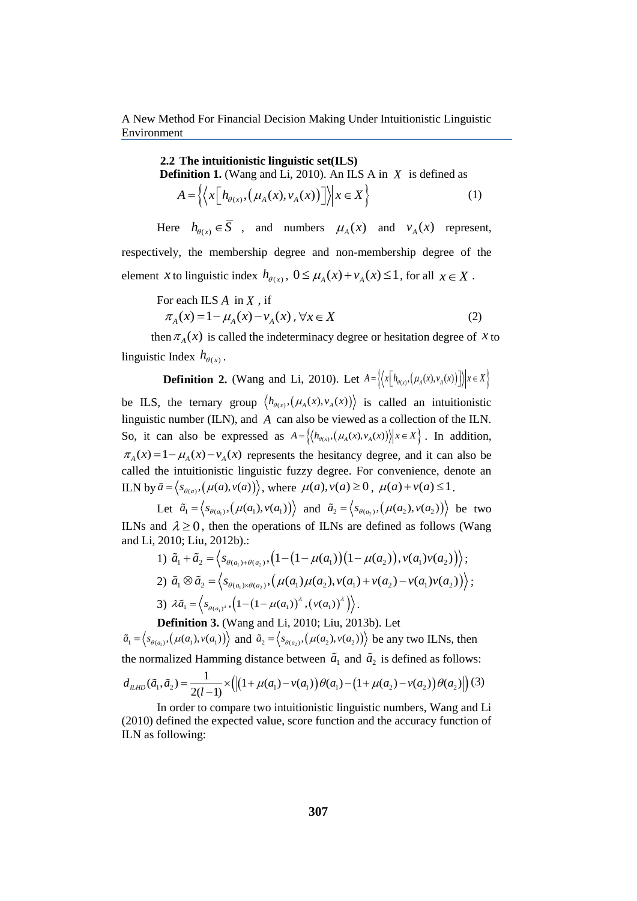> **2.2 The intuitionistic linguistic set(ILS) Definition 1.** (Wang and Li, 2010). An ILS A in *X* is defined as  $A = \left\{ \left\langle x \left[ h_{\theta(x)}, \left( \mu_A(x), v_A(x) \right) \right] \right\rangle \middle| x \in X \right\} \right\}$ (1)

Here  $h_{\theta(x)} \in S$ , and numbers  $\mu_A(x)$  and  $v_A(x)$  represent, respectively, the membership degree and non-membership degree of the element *x* to linguistic index  $h_{\theta(x)}$ ,  $0 \le \mu_A(x) + v_A(x) \le 1$ , for all  $x \in X$ .

For each ILS A in X, if  
\n
$$
\pi_A(x) = 1 - \mu_A(x) - \nu_A(x), \forall x \in X
$$
\n(2)

then  $\pi_A(x)$  is called the indeterminacy degree or hesitation degree of x to linguistic Index  $h_{\theta(x)}$ .

**Definition 2.** (Wang and Li, 2010). Let  $A = \left\{ \left\langle x \left[ h_{\theta(x)}, \left( \mu_A(x), v_A(x) \right) \right] \right\rangle | x \in X \right\} \right\}$ 

be ILS, the ternary group  $\langle h_{\theta(x)}, (\mu_A(x), v_A(x)) \rangle$  is called an intuitionistic linguistic number (ILN), and *A* can also be viewed as a collection of the ILN. So, it can also be expressed as  $A = \{(h_{\theta(x)}, (\mu_A(x), v_A(x)))| | x \in X\}$ . In addition,  $\pi_A(x) = 1 - \mu_A(x) - v_A(x)$  represents the hesitancy degree, and it can also be called the intuitionistic linguistic fuzzy degree. For convenience, denote an ILN by  $\tilde{a} = \langle s_{\theta(a)}, (\mu(a), v(a)) \rangle$ , where  $\mu(a), v(a) \ge 0$ ,  $\mu(a) + v(a) \le 1$ .

Let  $\tilde{a}_1 = \langle s_{\theta(a_1)}, (\mu(a_1), v(a_1)) \rangle$  and  $\tilde{a}_2 = \langle s_{\theta(a_2)}, (\mu(a_2), v(a_2)) \rangle$  be two ILNs and  $\lambda \ge 0$ , then the operations of ILNs are defined as follows (Wang and Li, 2010; Liu, 2012b).:<br>and Li, 2010; Liu, 2012b).:<br> $1) \tilde{a}_1 + \tilde{a}_2 = \langle s_{\theta(a_1) + \theta(a_2)}, (1 - (1 - \mu(a_1))(1 - \mu(a_2)), \nu(a_1)\nu(a_2)) \rangle;$ and Li, 2010; Liu, 2012b).:

1) 
$$
\tilde{a}_1 + \tilde{a}_2 = \langle s_{\theta(a_1)+\theta(a_2)}, (1-(1-\mu(a_1))(1-\mu(a_2)), v(a_1)v(a_2)) \rangle;
$$
  
\n2)  $\tilde{a}_1 \otimes \tilde{a}_2 = \langle s_{\theta(a_1)\times\theta(a_2)}, (\mu(a_1)\mu(a_2), v(a_1) + v(a_2) - v(a_1)v(a_2)) \rangle;$   
\n3)  $\lambda \tilde{a}_1 = \langle s_{\theta(a_1)^2}, (1-(1-\mu(a_1))^2, (v(a_1))^2) \rangle.$ 

**Definition 3.** (Wang and Li, 2010; Liu, 2013b). Let  $\tilde{a}_1 = \left\langle s_{\theta(a_1)}, \left( \mu(a_1), v(a_1) \right) \right\rangle$  and  $\tilde{a}_2 = \left\langle s_{\theta(a_2)}, \left( \mu(a_2), v(a_2) \right) \right\rangle$  be any two ILNs, then the normalized Hamming distance between  $\tilde{a}_1$  and  $\tilde{a}_2$  is defined as follows:

$$
a_1 = \langle s_{\theta(a_1)}, (\mu(a_1), v(a_1)) \rangle \text{ and } a_2 = \langle s_{\theta(a_2)}, (\mu(a_2), v(a_2)) \rangle \text{ be any two LINs, then}
$$
  
the normalized Hamming distance between  $\tilde{a}_1$  and  $\tilde{a}_2$  is defined as follows:  

$$
d_{ILHD}(\tilde{a}_1, \tilde{a}_2) = \frac{1}{2(l-1)} \times \left( \left| (1 + \mu(a_1) - v(a_1)) \theta(a_1) - (1 + \mu(a_2) - v(a_2)) \theta(a_2) \right| \right) (3)
$$
  
In order to compare two intuitionistic linguistic numbers. Wong and Li

In order to compare two intuitionistic linguistic numbers, Wang and Li (2010) defined the expected value, score function and the accuracy function of ILN as following: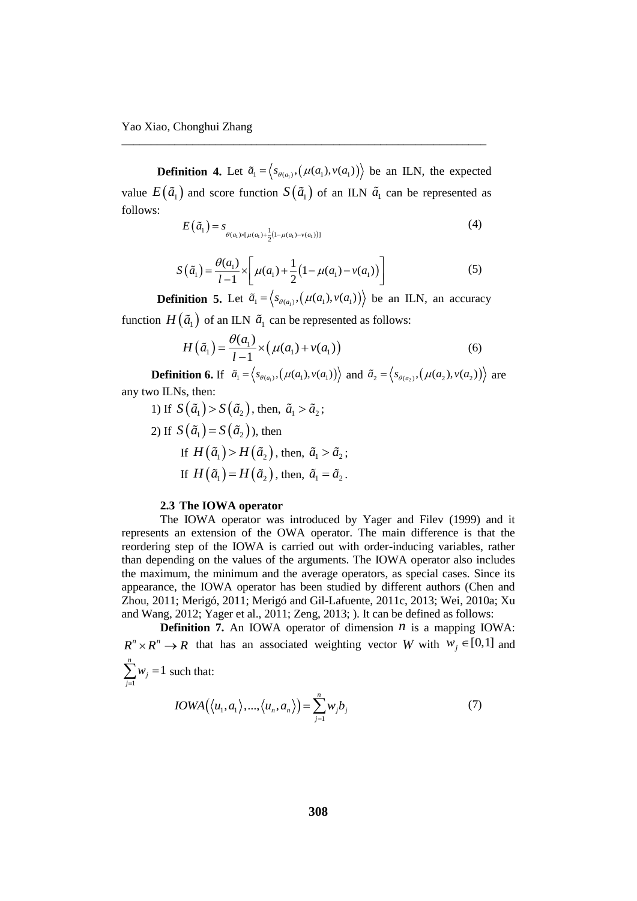Yao Xiao, Chonghui Zhang

**Definition 4.** Let  $\tilde{a}_1 = \langle s_{\theta(a_1)}, (\mu(a_1), v(a_1)) \rangle$  be an ILN, the expected value  $E(\tilde{a}_1)$  and score function  $S(\tilde{a}_1)$  of an ILN  $\tilde{a}_1$  can be represented as follows:

\_\_\_\_\_\_\_\_\_\_\_\_\_\_\_\_\_\_\_\_\_\_\_\_\_\_\_\_\_\_\_\_\_\_\_\_\_\_\_\_\_\_\_\_\_\_\_\_\_\_\_\_\_\_\_\_\_\_\_\_\_\_

$$
E(\tilde{a}_1) = s_{\theta(a_1) \times [\mu(a_1) + \frac{1}{2}(1 - \mu(a_1) - \nu(a_1))]}
$$
(4)

$$
S(\tilde{a}_1) = \frac{\theta(a_1)}{l-1} \times \left[ \mu(a_1) + \frac{1}{2} (1 - \mu(a_1) - \nu(a_1)) \right]
$$
 (5)

**Definition 5.** Let  $\tilde{a}_1 = \langle s_{\theta(a_1)}, (\mu(a_1), v(a_1)) \rangle$  be an ILN, an accuracy

function 
$$
H(\tilde{a}_1)
$$
 of an ILN  $\tilde{a}_1$  can be represented as follows:  
\n
$$
H(\tilde{a}_1) = \frac{\theta(a_1)}{1 - 1} \times (\mu(a_1) + \nu(a_1))
$$
\n(6)

**Definition 6.** If  $\tilde{a}_1 = \langle s_{\theta(a_1)}, (\mu(a_1), v(a_1)) \rangle$  and  $\tilde{a}_2 = \langle s_{\theta(a_2)}, (\mu(a_2), v(a_2)) \rangle$  are any two ILNs, then:

1) If 
$$
S(\tilde{a}_1) > S(\tilde{a}_2)
$$
, then,  $\tilde{a}_1 > \tilde{a}_2$ ;  
\n2) If  $S(\tilde{a}_1) = S(\tilde{a}_2)$ , then  
\nIf  $H(\tilde{a}_1) > H(\tilde{a}_2)$ , then,  $\tilde{a}_1 > \tilde{a}_2$ ;  
\nIf  $H(\tilde{a}_1) = H(\tilde{a}_2)$ , then,  $\tilde{a}_1 = \tilde{a}_2$ .

## **2.3 The IOWA operator**

The IOWA operator was introduced by Yager and Filev (1999) and it represents an extension of the OWA operator. The main difference is that the reordering step of the IOWA is carried out with order-inducing variables, rather than depending on the values of the arguments. The IOWA operator also includes the maximum, the minimum and the average operators, as special cases. Since its appearance, the IOWA operator has been studied by different authors (Chen and Zhou, 2011; Merigó, 2011; Merigó and Gil-Lafuente, 2011c, 2013; Wei, 2010a; Xu and Wang, 2012; Yager et al., 2011; Zeng, 2013; ). It can be defined as follows:

**Definition 7.** An IOWA operator of dimension  $n$  is a mapping IOWA:  $R^n \times R^n \to R$  that has an associated weighting vector *W* with  $w_j \in [0,1]$  and 1  $\sum_{i=1}^{n} w_i = 1$ *j j w*  $\sum_{j=1} w_j = 1$  such that:  $IOWA(\langle u_1, a_1 \rangle, ..., \langle u_n, a_n \rangle) = \sum_{j=1}^{n} w_j b_j$ (7)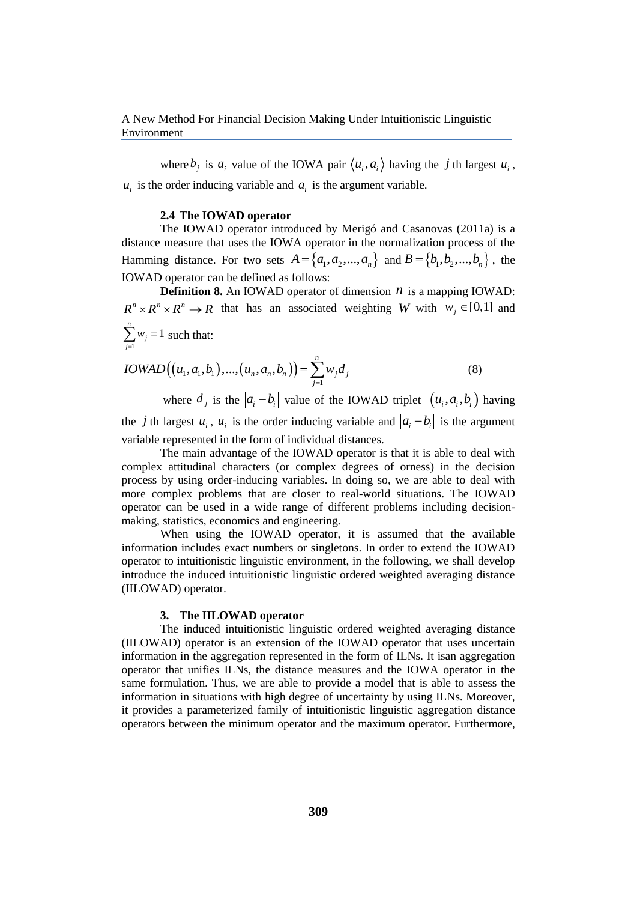where  $b_j$  is  $a_i$  value of the IOWA pair  $\langle u_i, a_i \rangle$  having the *j* th largest  $u_i$ ,  $u_i$  is the order inducing variable and  $a_i$  is the argument variable.

#### **2.4 The IOWAD operator**

The IOWAD operator introduced by Merigó and Casanovas (2011a) is a distance measure that uses the IOWA operator in the normalization process of the Hamming distance. For two sets  $A = \{a_1, a_2, ..., a_n\}$  and  $B = \{b_1, b_2, ..., b_n\}$ , the IOWAD operator can be defined as follows:

**Definition 8.** An IOWAD operator of dimension  $n$  is a mapping IOWAD:  $R^n \times R^n \times R^n \to R$  that has an associated weighting *W* with  $W_j \in [0,1]$  and 1  $\sum_{i=1}^{n} w_i = 1$  $\sum w_j = 1$  such that: *j*  $=$ *n*

$$
IOWAD((u_1, a_1, b_1), ..., (u_n, a_n, b_n)) = \sum_{j=1}^{n} w_j d_j
$$
\n(8)

where  $d_i$  is the  $|a_i - b_i|$  value of the IOWAD triplet  $(u_i, a_i, b_i)$  having the *j* th largest  $u_i$ ,  $u_i$  is the order inducing variable and  $|a_i - b_i|$  is the argument variable represented in the form of individual distances.

The main advantage of the IOWAD operator is that it is able to deal with complex attitudinal characters (or complex degrees of orness) in the decision process by using order-inducing variables. In doing so, we are able to deal with more complex problems that are closer to real-world situations. The IOWAD operator can be used in a wide range of different problems including decisionmaking, statistics, economics and engineering.

When using the IOWAD operator, it is assumed that the available information includes exact numbers or singletons. In order to extend the IOWAD operator to intuitionistic linguistic environment, in the following, we shall develop introduce the induced intuitionistic linguistic ordered weighted averaging distance (IILOWAD) operator.

## **3. The IILOWAD operator**

The induced intuitionistic linguistic ordered weighted averaging distance (IILOWAD) operator is an extension of the IOWAD operator that uses uncertain information in the aggregation represented in the form of ILNs. It isan aggregation operator that unifies ILNs, the distance measures and the IOWA operator in the same formulation. Thus, we are able to provide a model that is able to assess the information in situations with high degree of uncertainty by using ILNs. Moreover, it provides a parameterized family of intuitionistic linguistic aggregation distance operators between the minimum operator and the maximum operator. Furthermore,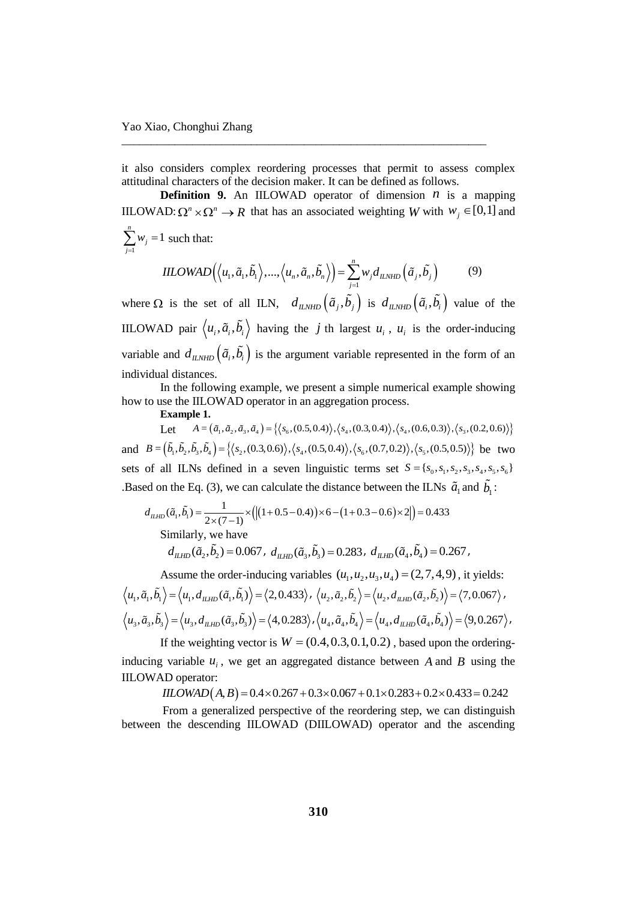it also considers complex reordering processes that permit to assess complex attitudinal characters of the decision maker. It can be defined as follows.

\_\_\_\_\_\_\_\_\_\_\_\_\_\_\_\_\_\_\_\_\_\_\_\_\_\_\_\_\_\_\_\_\_\_\_\_\_\_\_\_\_\_\_\_\_\_\_\_\_\_\_\_\_\_\_\_\_\_\_\_\_\_

**Definition 9.** An IILOWAD operator of dimension  $n$  is a mapping IILOWAD:  $\Omega^n \times \Omega^n \to R$  that has an associated weighting *W* with  $W_j \in [0,1]$  and 1  $\sum_{i=1}^{n} w_i = 1$  $\sum w_j = 1$  such that: *j*  $=$ 

$$
HLOWAD(\langle u_1, \tilde{a}_1, \tilde{b}_1 \rangle, ..., \langle u_n, \tilde{a}_n, \tilde{b}_n \rangle) = \sum_{j=1}^n w_j d_{LNHD}(\tilde{a}_j, \tilde{b}_j)
$$
(9)

where  $\Omega$  is the set of all ILN,  $d_{ILNHD}(\tilde{a}_i, b_i)$  is  $d_{ILNHD}(\tilde{a}_i, b_i)$  value of the IILOWAD pair  $\langle u_i, \tilde{a}_i, b_i \rangle$  having the *j* th largest  $u_i$ ,  $u_i$  is the order-inducing variable and  $d_{ILNHD}(\tilde{a}_i, b_i)$  is the argument variable represented in the form of an individual distances.

In the following example, we present a simple numerical example showing how to use the IILOWAD operator in an aggregation process.

**Example 1.** 

ise the IILOWAD operator in an aggregation process.<br> **Example 1.**<br>
Let  $A = (\tilde{a}_1, \tilde{a}_2, \tilde{a}_3, \tilde{a}_4) = \{ \langle s_6, (0.5, 0.4) \rangle, \langle s_4, (0.3, 0.4) \rangle, \langle s_4, (0.6, 0.3) \rangle, \langle s_3, (0.2, 0.6) \rangle \}$ **Example 1.**<br>
Let  $A = (\tilde{a}_1, \tilde{a}_2, \tilde{a}_3, \tilde{a}_4) = \{ \langle s_6, (0.5, 0.4) \rangle, \langle s_4, (0.3, 0.4) \rangle, \langle s_4, (0.6, 0.3) \rangle, \langle s_3, (0.2, 0.6) \rangle \}$ <br>
and  $B = (\tilde{b}_1, \tilde{b}_2, \tilde{b}_3, \tilde{b}_4) = \{ \langle s_2, (0.3, 0.6) \rangle, \langle s_4, (0.5, 0.4) \rangle, \langle s_6$ sets of all ILNs defined in a seven linguistic terms set  $S = \{s_0, s_1, s_2, s_3, s_4, s_5, s_6\}$ 

Based on the Eq. (3), we can calculate the distance between the ILNs 
$$
\tilde{a}_1
$$
 and  $\tilde{b}_1$ :  
\n
$$
d_{\mu_{HD}}(\tilde{a}_1, \tilde{b}_1) = \frac{1}{2 \times (7-1)} \times (|(1+0.5-0.4)) \times 6 - (1+0.3-0.6) \times 2|) = 0.433
$$
\nSimilarly, we have  
\n
$$
d_{\mu_{HD}}(\tilde{a}_2, \tilde{b}_2) = 0.067, \ d_{\mu_{HD}}(\tilde{a}_3, \tilde{b}_3) = 0.283, \ d_{\mu_{HD}}(\tilde{a}_4, \tilde{b}_4) = 0.267,
$$

Assume the order-inducing variables  $(u_1, u_2, u_3, u_4) = (2, 7, 4, 9)$ , it yields: Assume the order-inducing variables  $(u_1, u_2, u_3, u_4) = (2, 7, 4, 9)$ , it yields:<br>  $u_1, \tilde{a}_1, \tilde{b}_1 \rangle = \langle u_1, d_{LHD}(\tilde{a}_1, \tilde{b}_1) \rangle = \langle 2, 0.433 \rangle, \langle u_2, \tilde{a}_2, \tilde{b}_2 \rangle = \langle u_2, d_{LHD}(\tilde{a}_2, \tilde{b}_2) \rangle = \langle 7, 0.067 \rangle$  $\langle u_1, u_1, v_1 \rangle = \langle u_1, u_{ILHD}(u_1, v_1) \rangle = \langle 2, 0.435 \rangle, \langle u_2, u_2, v_2 \rangle = \langle u_2, u_{ILHD}(u_2, v_2) \rangle = \langle 1, 0.0007 \rangle,$ <br> $\langle u_3, \tilde{a}_3, \tilde{b}_3 \rangle = \langle u_3, d_{ILHD}(\tilde{a}_3, \tilde{b}_3) \rangle = \langle 4, 0.283 \rangle, \langle u_4, \tilde{a}_4, \tilde{b}_4 \rangle = \langle u_4, d_{ILHD}(\tilde{a}_4, \$ 

If the weighting vector is  $W = (0.4, 0.3, 0.1, 0.2)$ , based upon the orderinginducing variable  $u_i$ , we get an aggregated distance between A and B using the IILOWAD operator: variable  $u_i$ , we get an aggregated distance between A and B using the<br>*IILOWAD*  $(A, B) = 0.4 \times 0.267 + 0.3 \times 0.067 + 0.1 \times 0.283 + 0.2 \times 0.433 = 0.242$ 

$$
IILOWAD(A, B) = 0.4 \times 0.267 + 0.3 \times 0.067 + 0.1 \times 0.283 + 0.2 \times 0.433 = 0.242
$$

From a generalized perspective of the reordering step, we can distinguish between the descending IILOWAD (DIILOWAD) operator and the ascending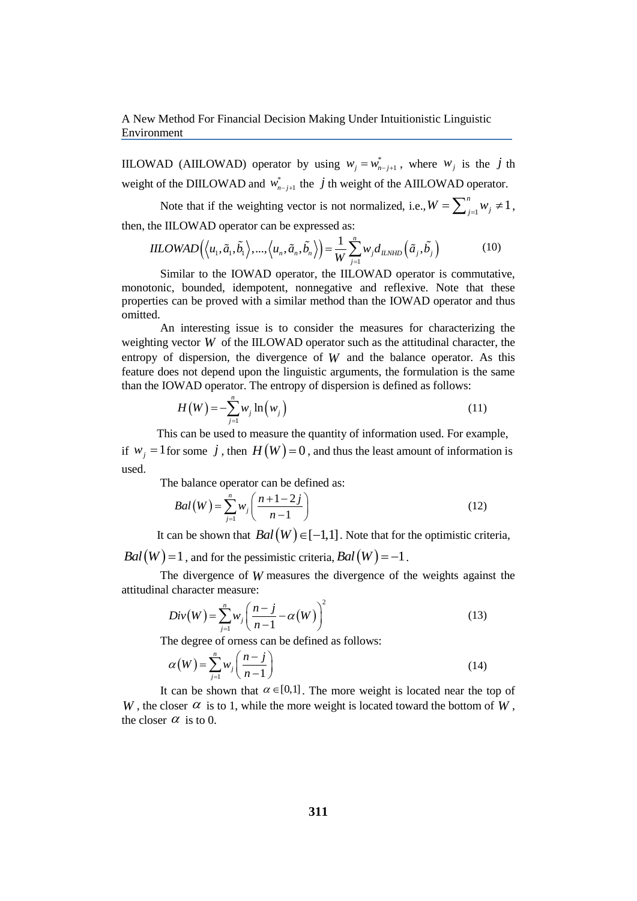IILOWAD (AIILOWAD) operator by using  $w_j = w_{n-j+1}^*$ , where  $w_j$  is the *j* th weight of the DIILOWAD and  $w_{n-j+1}^*$  the *j* th weight of the AIILOWAD operator.

Note that if the weighting vector is not normalized, i.e.,  $W = \sum_{j=1}^{n} w_j \neq 1$ ,

then, the IILOWAD operator can be expressed as:  
\n
$$
IILOWAD(\langle u_1, \tilde{a}_1, \tilde{b}_1 \rangle, ..., \langle u_n, \tilde{a}_n, \tilde{b}_n \rangle) = \frac{1}{W} \sum_{j=1}^n w_j d_{ILYHD}(\tilde{a}_j, \tilde{b}_j)
$$
\n(10)

Similar to the IOWAD operator, the IILOWAD operator is commutative, monotonic, bounded, idempotent, nonnegative and reflexive. Note that these properties can be proved with a similar method than the IOWAD operator and thus omitted.

An interesting issue is to consider the measures for characterizing the weighting vector *W* of the IILOWAD operator such as the attitudinal character, the entropy of dispersion, the divergence of  $W$  and the balance operator. As this feature does not depend upon the linguistic arguments, the formulation is the same than the IOWAD operator. The entropy of dispersion is defined as follows:

$$
H(W) = -\sum_{j=1}^{n} w_j \ln(w_j)
$$
\n(11)

This can be used to measure the quantity of information used. For example, if  $w_j = 1$  for some  $j$ , then  $H(W) = 0$ , and thus the least amount of information is used.

The balance operator can be defined as:  
\n
$$
Bal(W) = \sum_{j=1}^{n} w_j \left( \frac{n+1-2j}{n-1} \right)
$$
\n(12)

It can be shown that  $Bal(W) \in [-1,1]$ . Note that for the optimistic criteria,

 $Bal(W) = 1$ , and for the pessimistic criteria,  $Bal(W) = -1$ .

The divergence of *W* measures the divergence of the weights against the attitudinal character measure:

Div(W) = 
$$
\sum_{j=1}^{n} w_j \left( \frac{n-j}{n-1} - \alpha(W) \right)^2
$$
 (13)

The degree of orness can be defined as follows:

$$
\alpha(W) = \sum_{j=1}^{n} w_j \left(\frac{n-j}{n-1}\right) \tag{14}
$$

It can be shown that  $\alpha \in [0,1]$ . The more weight is located near the top of *W*, the closer  $\alpha$  is to 1, while the more weight is located toward the bottom of *W*, the closer  $\alpha$  is to 0.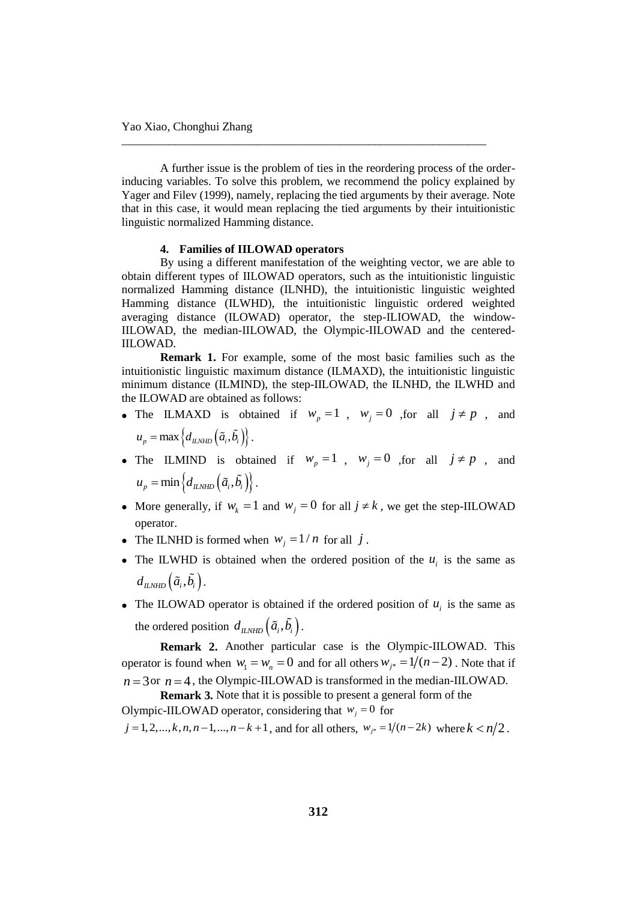A further issue is the problem of ties in the reordering process of the orderinducing variables. To solve this problem, we recommend the policy explained by Yager and Filev (1999), namely, replacing the tied arguments by their average. Note that in this case, it would mean replacing the tied arguments by their intuitionistic linguistic normalized Hamming distance.

\_\_\_\_\_\_\_\_\_\_\_\_\_\_\_\_\_\_\_\_\_\_\_\_\_\_\_\_\_\_\_\_\_\_\_\_\_\_\_\_\_\_\_\_\_\_\_\_\_\_\_\_\_\_\_\_\_\_\_\_\_\_

### **4. Families of IILOWAD operators**

By using a different manifestation of the weighting vector, we are able to obtain different types of IILOWAD operators, such as the intuitionistic linguistic normalized Hamming distance (ILNHD), the intuitionistic linguistic weighted Hamming distance (ILWHD), the intuitionistic linguistic ordered weighted averaging distance (ILOWAD) operator, the step-ILIOWAD, the window-IILOWAD, the median-IILOWAD, the Olympic-IILOWAD and the centered-IILOWAD.

**Remark 1.** For example, some of the most basic families such as the intuitionistic linguistic maximum distance (ILMAXD), the intuitionistic linguistic minimum distance (ILMIND), the step-IILOWAD, the ILNHD, the ILWHD and the ILOWAD are obtained as follows:

- The ILMAXD is obtained if  $w_p = 1$ ,  $w_j = 0$ , for all  $j \neq p$ , and  $u_p = \max \left\{ d_{\text{ILNHD}} \left( \tilde{a}_i, \tilde{b}_i \right) \right\}.$
- The ILMIND is obtained if  $w_p = 1$ ,  $w_j = 0$ , for all  $j \neq p$ , and  $u_p = \min \left\{ d_{\text{ILNHD}} \left( \tilde{a}_i, \tilde{b}_i \right) \right\}.$
- More generally, if  $w_k = 1$  and  $w_j = 0$  for all  $j \neq k$ , we get the step-IILOWAD operator.
- The ILNHD is formed when  $w_j = 1/n$  for all j.
- The ILWHD is obtained when the ordered position of the  $u_i$  is the same as  $d_{\mu_{NHD}}(\tilde{a}_{i}, \tilde{b}_{i}).$
- The ILOWAD operator is obtained if the ordered position of  $u_i$  is the same as the ordered position  $d_{ILNHD}(\tilde{a}_i, b_i)$ .

**Remark 2.** Another particular case is the Olympic-IILOWAD. This operator is found when  $w_1 = w_n = 0$  and for all others  $w_{j*} = 1/(n-2)$ . Note that if  $n = 3$  or  $n = 4$ , the Olympic-IILOWAD is transformed in the median-IILOWAD.

**Remark 3.** Note that it is possible to present a general form of the Olympic-IILOWAD operator, considering that  $w_j = 0$  for *j* = 1, 2,..., *k*, *n*, *n* - 1,..., *n* - *k* + 1, and for all others,  $w_{j*} = 1/(n-2k)$  where  $k < n/2$ .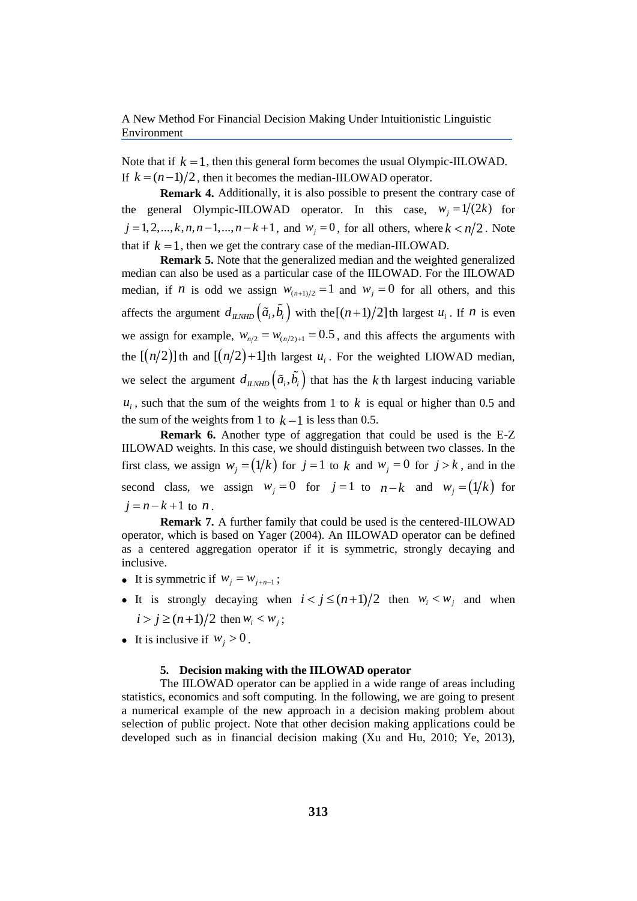Note that if  $k = 1$ , then this general form becomes the usual Olympic-IILOWAD. If  $k = (n-1)/2$ , then it becomes the median-IILOWAD operator.

**Remark 4.** Additionally, it is also possible to present the contrary case of the general Olympic-IILOWAD operator. In this case,  $w_j = 1/(2k)$  for  $j = 1, 2, \ldots, k, n, n-1, \ldots, n-k+1$ , and  $w_j = 0$ , for all others, where  $k < n/2$ . Note that if  $k = 1$ , then we get the contrary case of the median-IILOWAD.

**Remark 5.** Note that the generalized median and the weighted generalized median can also be used as a particular case of the IILOWAD. For the IILOWAD median, if *n* is odd we assign  $w_{(n+1)/2} = 1$  and  $w_j = 0$  for all others, and this affects the argument  $d_{ILNHD}(\tilde{a}_i, \tilde{b}_i)$  with the  $[(n+1)/2]$  th largest  $u_i$ . If *n* is even we assign for example,  $W_{n/2} = W_{(n/2)+1} = 0.5$ , and this affects the arguments with the  $[(n/2)]$  th and  $[(n/2)+1]$  th largest  $u_i$ . For the weighted LIOWAD median, we select the argument  $d_{ILMID}(\tilde{a}_i, b_i)$  that has the k th largest inducing variable  $u_i$ , such that the sum of the weights from 1 to  $k$  is equal or higher than 0.5 and the sum of the weights from 1 to  $k-1$  is less than 0.5.

**Remark 6.** Another type of aggregation that could be used is the E-Z IILOWAD weights. In this case, we should distinguish between two classes. In the first class, we assign  $w_j = (1/k)$  for  $j = 1$  to k and  $w_j = 0$  for  $j > k$ , and in the second class, we assign  $w_j = 0$  for  $j = 1$  to  $n - k$  and  $w_j = (1/k)$  for  $j = n - k + 1$  to *n*.

**Remark 7.** A further family that could be used is the centered-IILOWAD operator, which is based on Yager (2004). An IILOWAD operator can be defined as a centered aggregation operator if it is symmetric, strongly decaying and inclusive.

- It is symmetric if  $w_j = w_{j+n-1}$ ;
- It is strongly decaying when  $i < j \le (n+1)/2$  then  $w_i < w_j$  and when  $i > j \ge (n+1)/2$  then  $w_i < w_j$ ;
- It is inclusive if  $w_j > 0$ .

## **5. Decision making with the IILOWAD operator**

The IILOWAD operator can be applied in a wide range of areas including statistics, economics and soft computing. In the following, we are going to present a numerical example of the new approach in a decision making problem about selection of public project. Note that other decision making applications could be developed such as in financial decision making (Xu and Hu, 2010; Ye, 2013),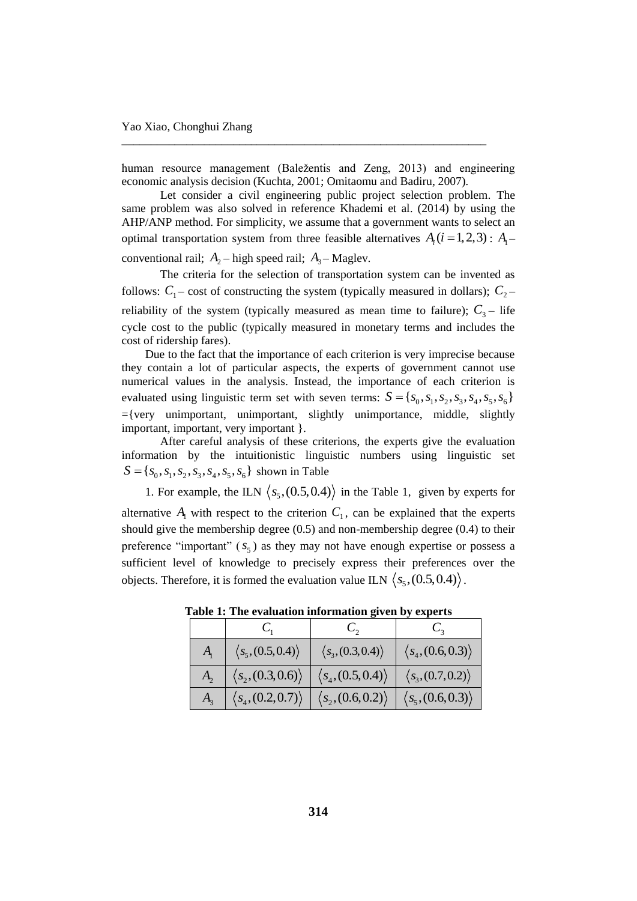human resource management (Baležentis and Zeng, 2013) and engineering economic analysis decision (Kuchta, 2001; Omitaomu and Badiru, 2007).

\_\_\_\_\_\_\_\_\_\_\_\_\_\_\_\_\_\_\_\_\_\_\_\_\_\_\_\_\_\_\_\_\_\_\_\_\_\_\_\_\_\_\_\_\_\_\_\_\_\_\_\_\_\_\_\_\_\_\_\_\_\_

Let consider a civil engineering public project selection problem. The same problem was also solved in reference Khademi et al. (2014) by using the AHP/ANP method. For simplicity, we assume that a government wants to select an optimal transportation system from three feasible alternatives  $A_i$  ( $i = 1, 2, 3$ ) :  $A_i$ conventional rail;  $A_2$  – high speed rail;  $A_3$  – Maglev.

The criteria for the selection of transportation system can be invented as follows:  $C_1$  – cost of constructing the system (typically measured in dollars);  $C_2$  – reliability of the system (typically measured as mean time to failure);  $C_3$  – life cycle cost to the public (typically measured in monetary terms and includes the cost of ridership fares).

Due to the fact that the importance of each criterion is very imprecise because they contain a lot of particular aspects, the experts of government cannot use numerical values in the analysis. Instead, the importance of each criterion is evaluated using linguistic term set with seven terms:  $S = \{s_0, s_1, s_2, s_3, s_4, s_5, s_6\}$  $=\{very$  unimportant, unimportant, slightly unimportance, middle, slightly important, important, very important }.

After careful analysis of these criterions, the experts give the evaluation information by the intuitionistic linguistic numbers using linguistic set  $S = \{s_0, s_1, s_2, s_3, s_4, s_5, s_6\}$  shown in Table

1. For example, the ILN  $\langle s_5(0.5, 0.4) \rangle$  in the Table 1, given by experts for alternative  $A_1$  with respect to the criterion  $C_1$ , can be explained that the experts should give the membership degree (0.5) and non-membership degree (0.4) to their preference "important"  $(s_5)$  as they may not have enough expertise or possess a sufficient level of knowledge to precisely express their preferences over the objects. Therefore, it is formed the evaluation value ILN  $\langle s_5(0.5,0.4) \rangle$ .

| $A_{\scriptscriptstyle\perp}$ | $\langle s_5(0.5, 0.4) \rangle$   | $\langle s_3, (0.3, 0.4) \rangle$ | $\langle s_4, (0.6, 0.3) \rangle$ |
|-------------------------------|-----------------------------------|-----------------------------------|-----------------------------------|
| $A_{2}$                       | $\langle s_2, (0.3, 0.6) \rangle$ | $\langle s_4, (0.5, 0.4) \rangle$ | $\langle s_3(0.7, 0.2) \rangle$   |
| $A_{3}$                       | $\langle s_4, (0.2, 0.7) \rangle$ | $\langle s_2, (0.6, 0.2) \rangle$ | $\langle s_5(0.6, 0.3) \rangle$   |

**Table 1: The evaluation information given by experts**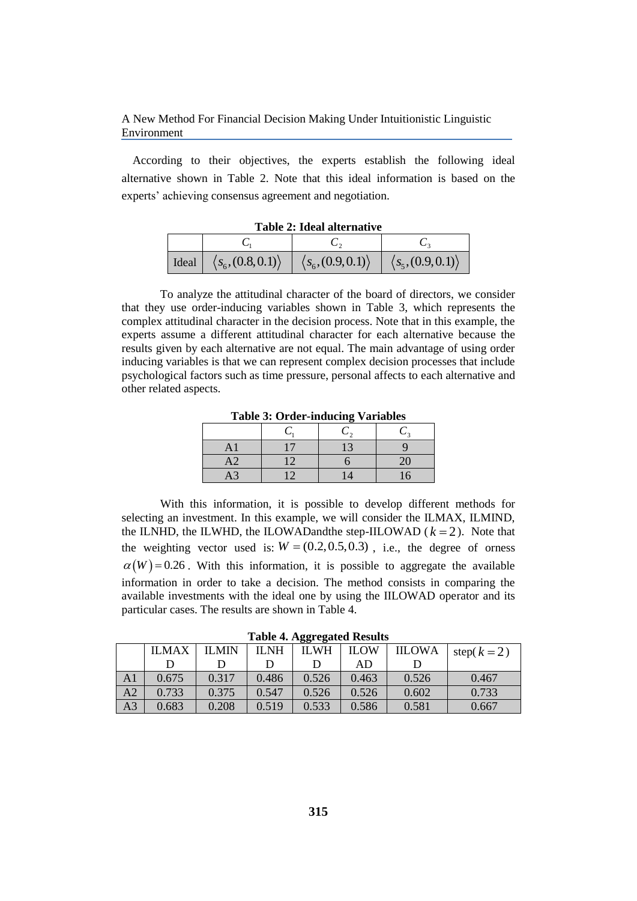According to their objectives, the experts establish the following ideal alternative shown in Table 2. Note that this ideal information is based on the experts' achieving consensus agreement and negotiation.

|       | Table 2. Tueal and hally t        |                                   |                                 |  |  |
|-------|-----------------------------------|-----------------------------------|---------------------------------|--|--|
|       |                                   |                                   |                                 |  |  |
| Ideal | $\langle s_6, (0.8, 0.1) \rangle$ | $\langle s_6, (0.9, 0.1) \rangle$ | $\langle s_5(0.9, 0.1) \rangle$ |  |  |

**Table 2: Ideal alternative**

To analyze the attitudinal character of the board of directors, we consider that they use order-inducing variables shown in Table 3, which represents the complex attitudinal character in the decision process. Note that in this example, the experts assume a different attitudinal character for each alternative because the results given by each alternative are not equal. The main advantage of using order inducing variables is that we can represent complex decision processes that include psychological factors such as time pressure, personal affects to each alternative and other related aspects.

**Table 3: Order-inducing Variables**

| AΓ | 17              | 13                  |    |
|----|-----------------|---------------------|----|
| A2 | 12              |                     | 20 |
| A3 | $\overline{12}$ | $\mathsf{1}\Lambda$ | 16 |

With this information, it is possible to develop different methods for selecting an investment. In this example, we will consider the ILMAX, ILMIND, the ILNHD, the ILWHD, the ILOWAD and the step-IILOWAD  $(k = 2)$ . Note that the weighting vector used is:  $W = (0.2, 0.5, 0.3)$ , i.e., the degree of orness  $\alpha(W)$  = 0.26. With this information, it is possible to aggregate the available information in order to take a decision. The method consists in comparing the available investments with the ideal one by using the IILOWAD operator and its particular cases. The results are shown in Table 4.

**Table 4. Aggregated Results**

|    |              |              |             | $\cdots$    |             |               |              |
|----|--------------|--------------|-------------|-------------|-------------|---------------|--------------|
|    | <b>ILMAX</b> | <b>ILMIN</b> | <b>ILNH</b> | <b>ILWH</b> | <b>ILOW</b> | <b>IILOWA</b> | step $(k=2)$ |
|    |              |              |             |             | AD          |               |              |
| AA | 0.675        | 0.317        | 0.486       | 0.526       | 0.463       | 0.526         | 0.467        |
| A2 | 0.733        | 0.375        | 0.547       | 0.526       | 0.526       | 0.602         | 0.733        |
| A3 | 0.683        | 0.208        | 0.519       | 0.533       | 0.586       | 0.581         | 0.667        |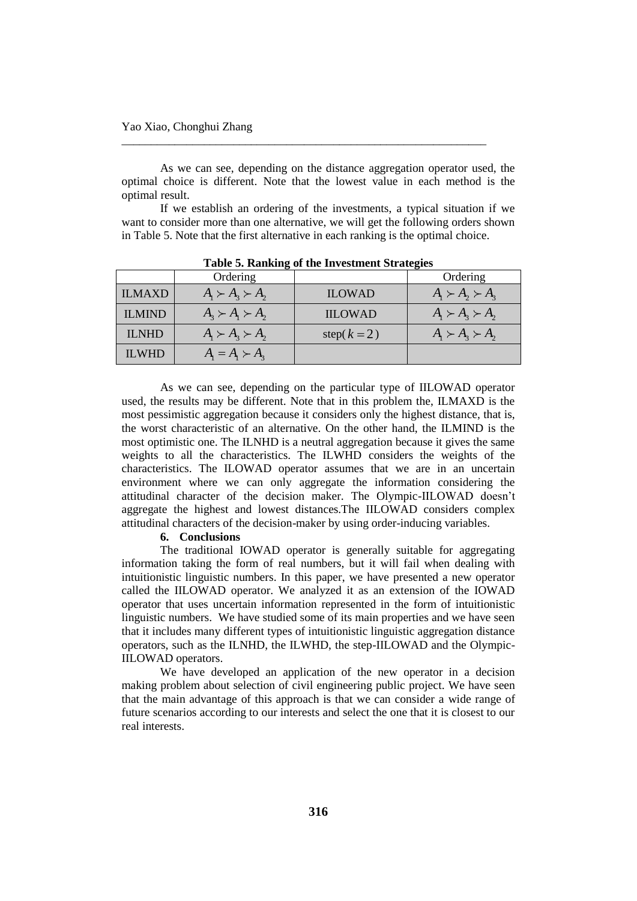As we can see, depending on the distance aggregation operator used, the optimal choice is different. Note that the lowest value in each method is the optimal result.

\_\_\_\_\_\_\_\_\_\_\_\_\_\_\_\_\_\_\_\_\_\_\_\_\_\_\_\_\_\_\_\_\_\_\_\_\_\_\_\_\_\_\_\_\_\_\_\_\_\_\_\_\_\_\_\_\_\_\_\_\_\_

If we establish an ordering of the investments, a typical situation if we want to consider more than one alternative, we will get the following orders shown in Table 5. Note that the first alternative in each ranking is the optimal choice.

|               | Ordering                                                                                |                | Ordering                  |  |  |
|---------------|-----------------------------------------------------------------------------------------|----------------|---------------------------|--|--|
| <b>ILMAXD</b> | $A_{1} \succ A_{2} \succ A_{2}$                                                         | <b>ILOWAD</b>  | $A_1 \succ A_2 \succ A_3$ |  |  |
| <b>ILMIND</b> | $A_{3} \succ A_{1} \succ A_{2}$                                                         | <b>IILOWAD</b> | $A_1 \succ A_2 \succ A_2$ |  |  |
| <b>ILNHD</b>  | $A_1 \succ A_2 \succ A_2$                                                               | step $(k=2)$   | $A_1 \succ A_2 \succ A_2$ |  |  |
| <b>ILWHD</b>  | $A_{\scriptscriptstyle{1}} = A_{\scriptscriptstyle{1}} \succ A_{\scriptscriptstyle{2}}$ |                |                           |  |  |

**Table 5. Ranking of the Investment Strategies**

As we can see, depending on the particular type of IILOWAD operator used, the results may be different. Note that in this problem the, ILMAXD is the most pessimistic aggregation because it considers only the highest distance, that is, the worst characteristic of an alternative. On the other hand, the ILMIND is the most optimistic one. The ILNHD is a neutral aggregation because it gives the same weights to all the characteristics. The ILWHD considers the weights of the characteristics. The ILOWAD operator assumes that we are in an uncertain environment where we can only aggregate the information considering the attitudinal character of the decision maker. The Olympic-IILOWAD doesn't aggregate the highest and lowest distances.The IILOWAD considers complex attitudinal characters of the decision-maker by using order-inducing variables.

# **6. Conclusions**

The traditional IOWAD operator is generally suitable for aggregating information taking the form of real numbers, but it will fail when dealing with intuitionistic linguistic numbers. In this paper, we have presented a new operator called the IILOWAD operator. We analyzed it as an extension of the IOWAD operator that uses uncertain information represented in the form of intuitionistic linguistic numbers. We have studied some of its main properties and we have seen that it includes many different types of intuitionistic linguistic aggregation distance operators, such as the ILNHD, the ILWHD, the step-IILOWAD and the Olympic-IILOWAD operators.

We have developed an application of the new operator in a decision making problem about selection of civil engineering public project. We have seen that the main advantage of this approach is that we can consider a wide range of future scenarios according to our interests and select the one that it is closest to our real interests.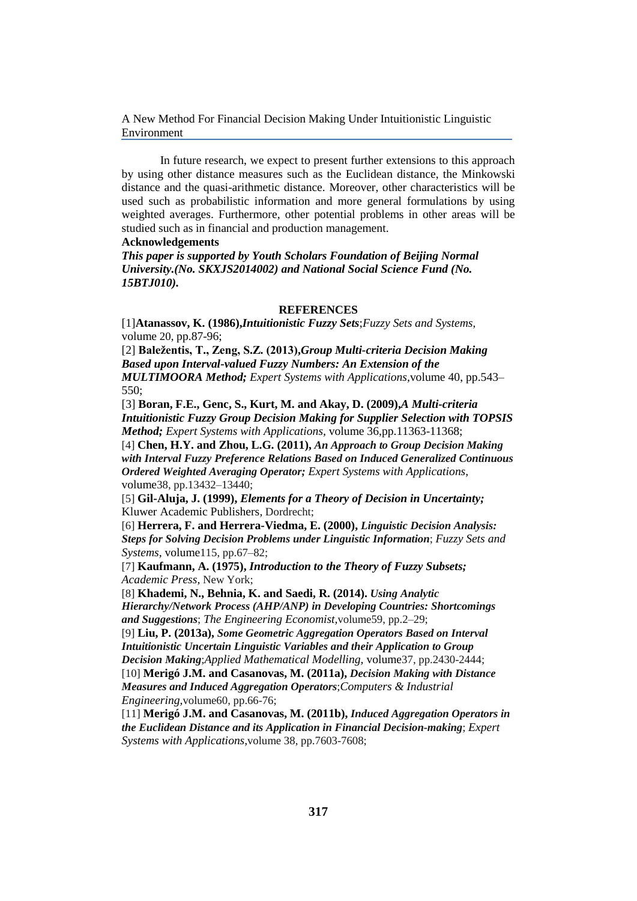In future research, we expect to present further extensions to this approach by using other distance measures such as the Euclidean distance, the Minkowski distance and the quasi-arithmetic distance. Moreover, other characteristics will be used such as probabilistic information and more general formulations by using weighted averages. Furthermore, other potential problems in other areas will be studied such as in financial and production management.

## **Acknowledgements**

*This paper is supported by Youth Scholars Foundation of Beijing Normal University.(No. SKXJS2014002) and National Social Science Fund (No. 15BTJ010).*

## **REFERENCES**

[1]**Atanassov, K. (1986),***Intuitionistic Fuzzy Sets*;*Fuzzy Sets and Systems*, volume 20, pp.87-96;

[2] **Baležentis, T., Zeng, S.Z. (2013),***Group Multi-criteria Decision Making Based upon Interval-valued Fuzzy Numbers: An Extension of the MULTIMOORA Method; Expert Systems with Applications,*volume 40, pp.543– 550;

[3] **Boran, F.E., Genc, S., Kurt, M. and Akay, D. (2009),***A Multi-criteria Intuitionistic Fuzzy Group Decision Making for Supplier Selection with TOPSIS Method; Expert Systems with Applications,* volume 36,pp.11363-11368;

[4] **Chen, H.Y. and Zhou, L.G. (2011),** *An Approach to Group Decision Making with Interval Fuzzy Preference Relations Based on Induced Generalized Continuous Ordered Weighted Averaging Operator; Expert Systems with Applications,*  volume38, pp.13432–13440;

[5] **Gil-Aluja, J. (1999),** *Elements for a Theory of Decision in Uncertainty;* Kluwer Academic Publishers*,* Dordrecht;

[6] **Herrera, F. and Herrera-Viedma, E. (2000),** *Linguistic Decision Analysis: Steps for Solving Decision Problems under Linguistic Information*; *Fuzzy Sets and Systems,* volume115, pp.67–82;

[7] **Kaufmann, A. (1975),** *Introduction to the Theory of Fuzzy Subsets; Academic Press,* New York;

[8] **Khademi, N., Behnia, K. and Saedi, R. (2014).** *Using Analytic Hierarchy/Network Process (AHP/ANP) in Developing Countries: Shortcomings and Suggestions*; *The Engineering Economist,*volume59, pp.2–29;

[9] **Liu, P. (2013a),** *Some Geometric Aggregation Operators Based on Interval Intuitionistic Uncertain Linguistic Variables and their Application to Group Decision Making*;*Applied Mathematical Modelling,* volume37, pp.2430-2444; [10] **Merigó J.M. and Casanovas, M. (2011a),** *Decision Making with Distance* 

*Measures and Induced Aggregation Operators*;*Computers & Industrial Engineering,*volume60, pp.66-76;

[11] **Merigó J.M. and Casanovas, M. (2011b),** *Induced Aggregation Operators in the Euclidean Distance and its Application in Financial Decision-making*; *Expert Systems with Applications,*volume 38, pp.7603-7608;